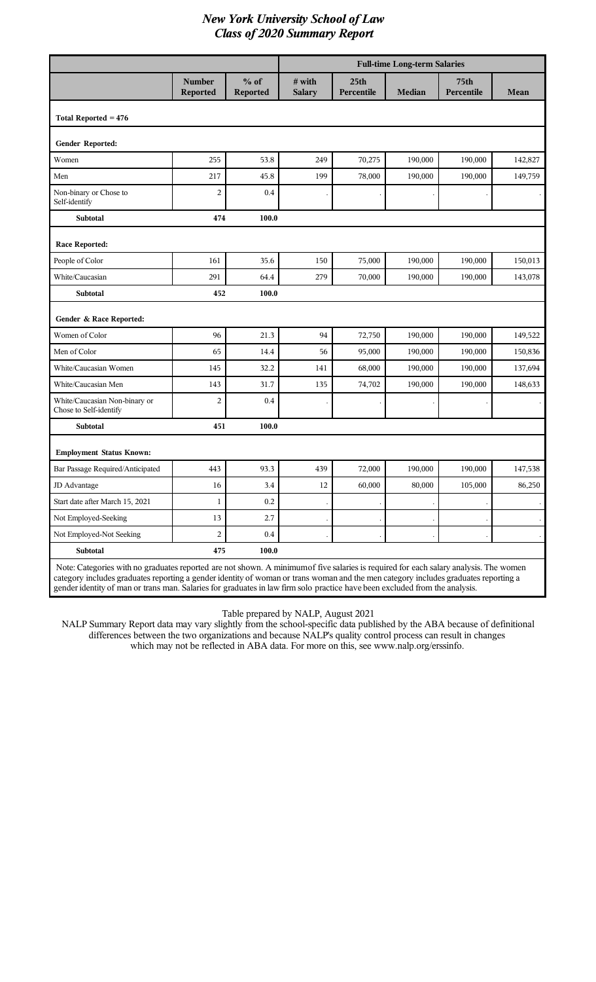|                                                                                                                                       |                                  |                    | <b>Full-time Long-term Salaries</b> |                                |               |                                |           |
|---------------------------------------------------------------------------------------------------------------------------------------|----------------------------------|--------------------|-------------------------------------|--------------------------------|---------------|--------------------------------|-----------|
|                                                                                                                                       | <b>Number</b><br><b>Reported</b> | $%$ of<br>Reported | $#$ with<br><b>Salary</b>           | 25 <sub>th</sub><br>Percentile | <b>Median</b> | 75 <sub>th</sub><br>Percentile | Mean      |
| Total Reported $= 476$                                                                                                                |                                  |                    |                                     |                                |               |                                |           |
| Gender Reported:                                                                                                                      |                                  |                    |                                     |                                |               |                                |           |
| Women                                                                                                                                 | 255                              | 53.8               | 249                                 | 70,275                         | 190,000       | 190,000                        | 142,827   |
| Men                                                                                                                                   | 217                              | 45.8               | 199                                 | 78,000                         | 190,000       | 190,000                        | 149,759   |
| Non-binary or Chose to<br>Self-identify                                                                                               | $\overline{2}$                   | 0.4                |                                     |                                |               |                                |           |
| Subtotal                                                                                                                              | 474                              | 100.0              |                                     |                                |               |                                |           |
| <b>Race Reported:</b>                                                                                                                 |                                  |                    |                                     |                                |               |                                |           |
| People of Color                                                                                                                       | 161                              | 35.6               | 150                                 | 75,000                         | 190,000       | 190,000                        | 150,013   |
| White/Caucasian                                                                                                                       | 291                              | 64.4               | 279                                 | 70,000                         | 190,000       | 190,000                        | 143,078   |
| Subtotal                                                                                                                              | 452                              | 100.0              |                                     |                                |               |                                |           |
| Gender & Race Reported:                                                                                                               |                                  |                    |                                     |                                |               |                                |           |
| Women of Color                                                                                                                        | 96                               | 21.3               | 94                                  | 72,750                         | 190,000       | 190,000                        | 149,522   |
| Men of Color                                                                                                                          | 65                               | 14.4               | 56                                  | 95,000                         | 190,000       | 190,000                        | 150,836   |
| White/Caucasian Women                                                                                                                 | 145                              | 32.2               | 141                                 | 68,000                         | 190,000       | 190,000                        | 137,694   |
| White/Caucasian Men                                                                                                                   | 143                              | 31.7               | 135                                 | 74,702                         | 190,000       | 190,000                        | 148,633   |
| White/Caucasian Non-binary or<br>Chose to Self-identify                                                                               | $\overline{2}$                   | 0.4                |                                     |                                |               |                                |           |
| Subtotal                                                                                                                              | 451                              | 100.0              |                                     |                                |               |                                |           |
| <b>Employment Status Known:</b>                                                                                                       |                                  |                    |                                     |                                |               |                                |           |
| Bar Passage Required/Anticipated                                                                                                      | 443                              | 93.3               | 439                                 | 72,000                         | 190,000       | 190,000                        | 147,538   |
| JD Advantage                                                                                                                          | $16\,$                           | 3.4                | 12                                  | 60,000                         | 80,000        | 105,000                        | 86,250    |
| Start date after March 15, 2021                                                                                                       | $\mathbf{1}$                     | $0.2\,$            |                                     |                                |               |                                |           |
| Not Employed-Seeking                                                                                                                  | 13                               | 2.7                |                                     |                                |               |                                | $\bullet$ |
| Not Employed-Not Seeking                                                                                                              | $\overline{c}$                   | $0.4\,$            |                                     |                                |               |                                |           |
| Subtotal                                                                                                                              | 475                              | 100.0              |                                     |                                |               |                                |           |
| Note: Categories with no graduates reported are not shown. A minimum of five salaries is required for each salary analysis. The women |                                  |                    |                                     |                                |               |                                |           |

category includes graduates reporting a gender identity of woman or trans woman and the men category includes graduates reporting a gender identity of man or trans man. Salaries for graduates in law firm solo practice have been excluded from the analysis.

Table prepared by NALP, August 2021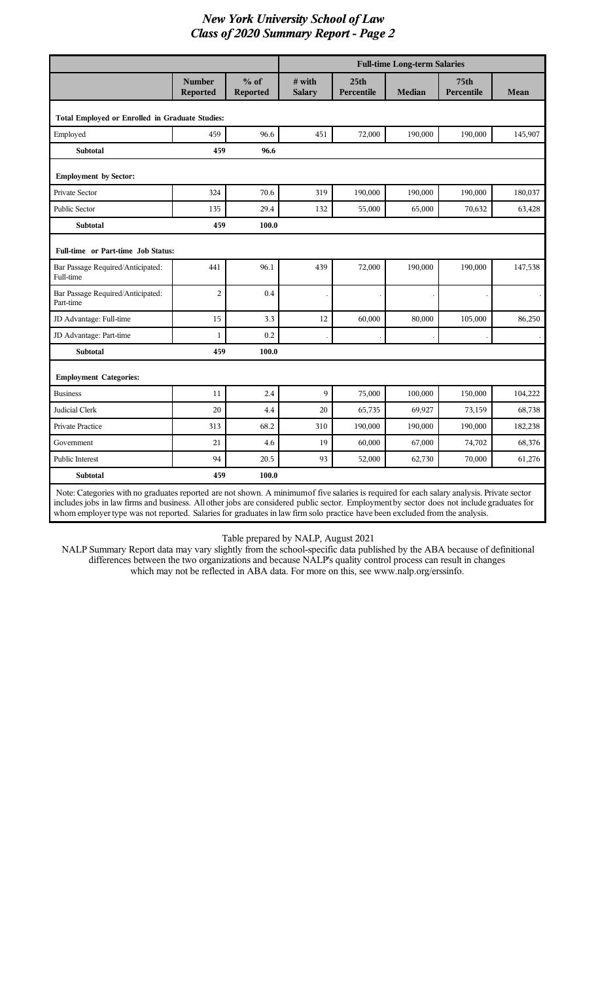|                                                                                                                                                                                                                                                                                                                                                                                                                        |                                  |                           | <b>Full-time Long-term Salaries</b> |                                |               |                                |         |
|------------------------------------------------------------------------------------------------------------------------------------------------------------------------------------------------------------------------------------------------------------------------------------------------------------------------------------------------------------------------------------------------------------------------|----------------------------------|---------------------------|-------------------------------------|--------------------------------|---------------|--------------------------------|---------|
|                                                                                                                                                                                                                                                                                                                                                                                                                        | <b>Number</b><br><b>Reported</b> | $%$ of<br><b>Reported</b> | $#$ with<br><b>Salary</b>           | 25 <sub>th</sub><br>Percentile | <b>Median</b> | 75 <sub>th</sub><br>Percentile | Mean    |
| Total Employed or Enrolled in Graduate Studies:                                                                                                                                                                                                                                                                                                                                                                        |                                  |                           |                                     |                                |               |                                |         |
| Employed                                                                                                                                                                                                                                                                                                                                                                                                               | 459                              | 96.6                      | 451                                 | 72,000                         | 190,000       | 190,000                        | 145,907 |
| <b>Subtotal</b>                                                                                                                                                                                                                                                                                                                                                                                                        | 459                              | 96.6                      |                                     |                                |               |                                |         |
| <b>Employment by Sector:</b>                                                                                                                                                                                                                                                                                                                                                                                           |                                  |                           |                                     |                                |               |                                |         |
| Private Sector                                                                                                                                                                                                                                                                                                                                                                                                         | 324                              | 70.6                      | 319                                 | 190,000                        | 190,000       | 190,000                        | 180,037 |
| <b>Public Sector</b>                                                                                                                                                                                                                                                                                                                                                                                                   | 135                              | 29.4                      | 132                                 | 55,000                         | 65,000        | 70,632                         | 63,428  |
| <b>Subtotal</b>                                                                                                                                                                                                                                                                                                                                                                                                        | 459                              | 100.0                     |                                     |                                |               |                                |         |
| Full-time or Part-time Job Status:                                                                                                                                                                                                                                                                                                                                                                                     |                                  |                           |                                     |                                |               |                                |         |
| Bar Passage Required/Anticipated:<br>Full-time                                                                                                                                                                                                                                                                                                                                                                         | 441                              | 96.1                      | 439                                 | 72,000                         | 190,000       | 190,000                        | 147,538 |
| Bar Passage Required/Anticipated:<br>Part-time                                                                                                                                                                                                                                                                                                                                                                         | $\overline{2}$                   | 0.4                       |                                     |                                |               |                                |         |
| JD Advantage: Full-time                                                                                                                                                                                                                                                                                                                                                                                                | 15                               | 3.3                       | 12                                  | 60,000                         | 80,000        | 105,000                        | 86,250  |
| JD Advantage: Part-time                                                                                                                                                                                                                                                                                                                                                                                                | 1                                | 0.2                       |                                     |                                |               |                                |         |
| <b>Subtotal</b>                                                                                                                                                                                                                                                                                                                                                                                                        | 459                              | 100.0                     |                                     |                                |               |                                |         |
| <b>Employment Categories:</b>                                                                                                                                                                                                                                                                                                                                                                                          |                                  |                           |                                     |                                |               |                                |         |
| <b>Business</b>                                                                                                                                                                                                                                                                                                                                                                                                        | 11                               | 2.4                       | 9                                   | 75,000                         | 100,000       | 150,000                        | 104,222 |
| Judicial Clerk                                                                                                                                                                                                                                                                                                                                                                                                         | 20                               | 4.4                       | 20                                  | 65,735                         | 69,927        | 73,159                         | 68,738  |
| Private Practice                                                                                                                                                                                                                                                                                                                                                                                                       | 313                              | 68.2                      | 310                                 | 190,000                        | 190,000       | 190,000                        | 182,238 |
| Government                                                                                                                                                                                                                                                                                                                                                                                                             | 21                               | 4.6                       | 19                                  | 60,000                         | 67,000        | 74,702                         | 68,376  |
| Public Interest                                                                                                                                                                                                                                                                                                                                                                                                        | 94                               | 20.5                      | 93                                  | 52,000                         | 62,730        | 70,000                         | 61,276  |
| <b>Subtotal</b>                                                                                                                                                                                                                                                                                                                                                                                                        | 459                              | 100.0                     |                                     |                                |               |                                |         |
| Note: Categories with no graduates reported are not shown. A minimum of five salaries is required for each salary analysis. Private sector<br>includes jobs in law firms and business. All other jobs are considered public sector. Employment by sector does not include graduates for<br>whom employer type was not reported. Salaries for graduates in law firm solo practice have been excluded from the analysis. |                                  |                           |                                     |                                |               |                                |         |

Table prepared by NALP, August 2021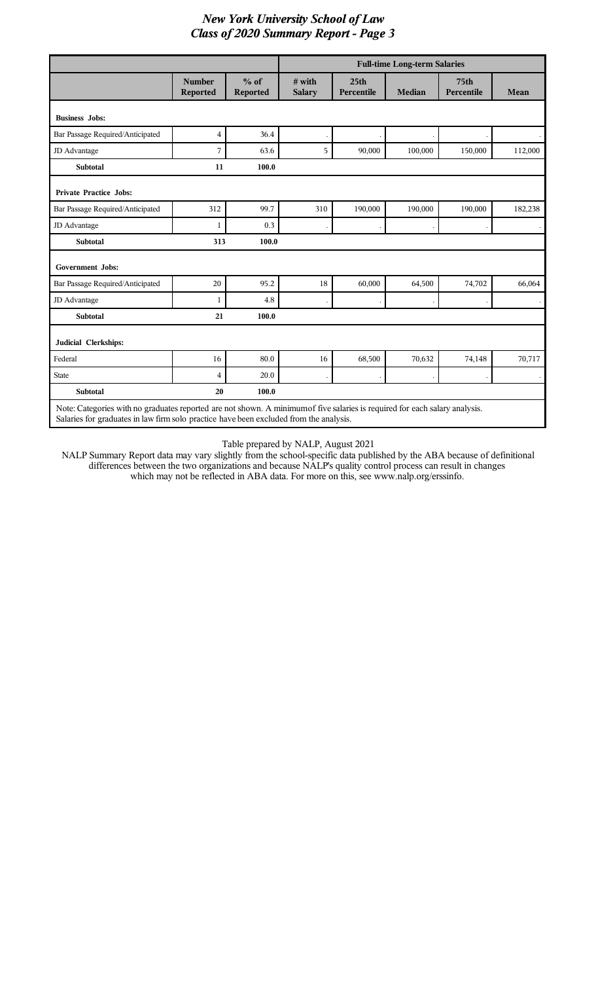|                                                                                                                             |                                  |                    | <b>Full-time Long-term Salaries</b> |                                |               |                                |         |
|-----------------------------------------------------------------------------------------------------------------------------|----------------------------------|--------------------|-------------------------------------|--------------------------------|---------------|--------------------------------|---------|
|                                                                                                                             | <b>Number</b><br><b>Reported</b> | $%$ of<br>Reported | # with<br><b>Salary</b>             | 25 <sub>th</sub><br>Percentile | <b>Median</b> | 75 <sub>th</sub><br>Percentile | Mean    |
| <b>Business Jobs:</b>                                                                                                       |                                  |                    |                                     |                                |               |                                |         |
| Bar Passage Required/Anticipated                                                                                            | 4                                | 36.4               |                                     |                                |               |                                |         |
| JD Advantage                                                                                                                | 7                                | 63.6               | 5                                   | 90,000                         | 100,000       | 150,000                        | 112,000 |
| <b>Subtotal</b>                                                                                                             | 11                               | 100.0              |                                     |                                |               |                                |         |
| <b>Private Practice Jobs:</b>                                                                                               |                                  |                    |                                     |                                |               |                                |         |
| Bar Passage Required/Anticipated                                                                                            | 312                              | 99.7               | 310                                 | 190,000                        | 190,000       | 190,000                        | 182,238 |
| JD Advantage                                                                                                                | $\mathbf{1}$                     | 0.3                |                                     |                                |               |                                |         |
| <b>Subtotal</b>                                                                                                             | 313                              | 100.0              |                                     |                                |               |                                |         |
| <b>Government Jobs:</b>                                                                                                     |                                  |                    |                                     |                                |               |                                |         |
| Bar Passage Required/Anticipated                                                                                            | 20                               | 95.2               | 18                                  | 60,000                         | 64,500        | 74,702                         | 66,064  |
| JD Advantage                                                                                                                | $\mathbf{1}$                     | 4.8                |                                     |                                |               |                                |         |
| <b>Subtotal</b>                                                                                                             | 21                               | 100.0              |                                     |                                |               |                                |         |
| Judicial Clerkships:                                                                                                        |                                  |                    |                                     |                                |               |                                |         |
| Federal                                                                                                                     | 16                               | 80.0               | 16                                  | 68,500                         | 70,632        | 74,148                         | 70,717  |
| <b>State</b>                                                                                                                | 4                                | 20.0               |                                     |                                |               |                                |         |
| Subtotal                                                                                                                    | 20                               | 100.0              |                                     |                                |               |                                |         |
| Note: Categories with no graduates reported are not shown. A minimum of five salaries is required for each salary analysis. |                                  |                    |                                     |                                |               |                                |         |

Salaries for graduates in law firm solo practice have been excluded from the analysis.

I

Table prepared by NALP, August 2021

 $\overline{\phantom{a}}$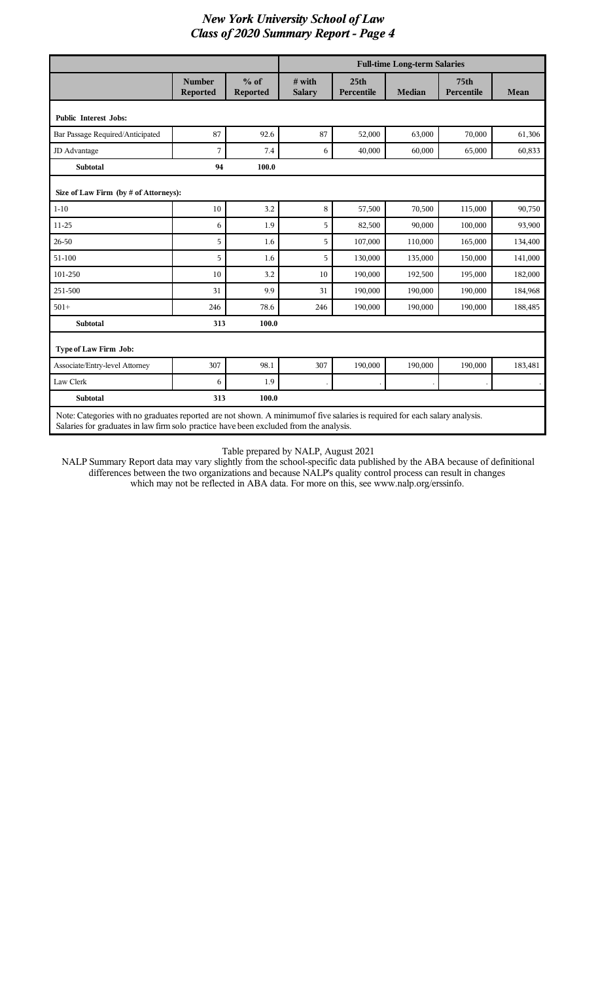|                                                                                                                                                                                                                       |                                  |                           | <b>Full-time Long-term Salaries</b> |                                |               |                                |         |
|-----------------------------------------------------------------------------------------------------------------------------------------------------------------------------------------------------------------------|----------------------------------|---------------------------|-------------------------------------|--------------------------------|---------------|--------------------------------|---------|
|                                                                                                                                                                                                                       | <b>Number</b><br><b>Reported</b> | $%$ of<br><b>Reported</b> | $#$ with<br><b>Salary</b>           | 25 <sub>th</sub><br>Percentile | <b>Median</b> | 75 <sub>th</sub><br>Percentile | Mean    |
| <b>Public Interest Jobs:</b>                                                                                                                                                                                          |                                  |                           |                                     |                                |               |                                |         |
| Bar Passage Required/Anticipated                                                                                                                                                                                      | 87                               | 92.6                      | 87                                  | 52,000                         | 63,000        | 70,000                         | 61,306  |
| JD Advantage                                                                                                                                                                                                          | 7                                | 7.4                       | 6                                   | 40,000                         | 60,000        | 65,000                         | 60,833  |
| <b>Subtotal</b>                                                                                                                                                                                                       | 94                               | 100.0                     |                                     |                                |               |                                |         |
| Size of Law Firm (by # of Attorneys):                                                                                                                                                                                 |                                  |                           |                                     |                                |               |                                |         |
| $1 - 10$                                                                                                                                                                                                              | 10                               | 3.2                       | 8                                   | 57,500                         | 70,500        | 115,000                        | 90,750  |
| 11-25                                                                                                                                                                                                                 | 6                                | 1.9                       | 5                                   | 82,500                         | 90,000        | 100,000                        | 93,900  |
| 26-50                                                                                                                                                                                                                 | 5                                | 1.6                       | 5                                   | 107,000                        | 110,000       | 165,000                        | 134,400 |
| 51-100                                                                                                                                                                                                                | 5                                | 1.6                       | 5                                   | 130,000                        | 135,000       | 150,000                        | 141,000 |
| 101-250                                                                                                                                                                                                               | 10                               | 3.2                       | 10                                  | 190,000                        | 192,500       | 195,000                        | 182,000 |
| 251-500                                                                                                                                                                                                               | 31                               | 9.9                       | 31                                  | 190,000                        | 190,000       | 190,000                        | 184,968 |
| $501+$                                                                                                                                                                                                                | 246                              | 78.6                      | 246                                 | 190,000                        | 190,000       | 190,000                        | 188,485 |
| <b>Subtotal</b>                                                                                                                                                                                                       | 313                              | 100.0                     |                                     |                                |               |                                |         |
| Type of Law Firm Job:                                                                                                                                                                                                 |                                  |                           |                                     |                                |               |                                |         |
| Associate/Entry-level Attorney                                                                                                                                                                                        | 307                              | 98.1                      | 307                                 | 190,000                        | 190,000       | 190,000                        | 183,481 |
| Law Clerk                                                                                                                                                                                                             | 6                                | 1.9                       |                                     |                                |               |                                |         |
| <b>Subtotal</b>                                                                                                                                                                                                       | 313                              | 100.0                     |                                     |                                |               |                                |         |
| Note: Categories with no graduates reported are not shown. A minimum of five salaries is required for each salary analysis.<br>Salaries for graduates in law firm solo practice have been excluded from the analysis. |                                  |                           |                                     |                                |               |                                |         |

I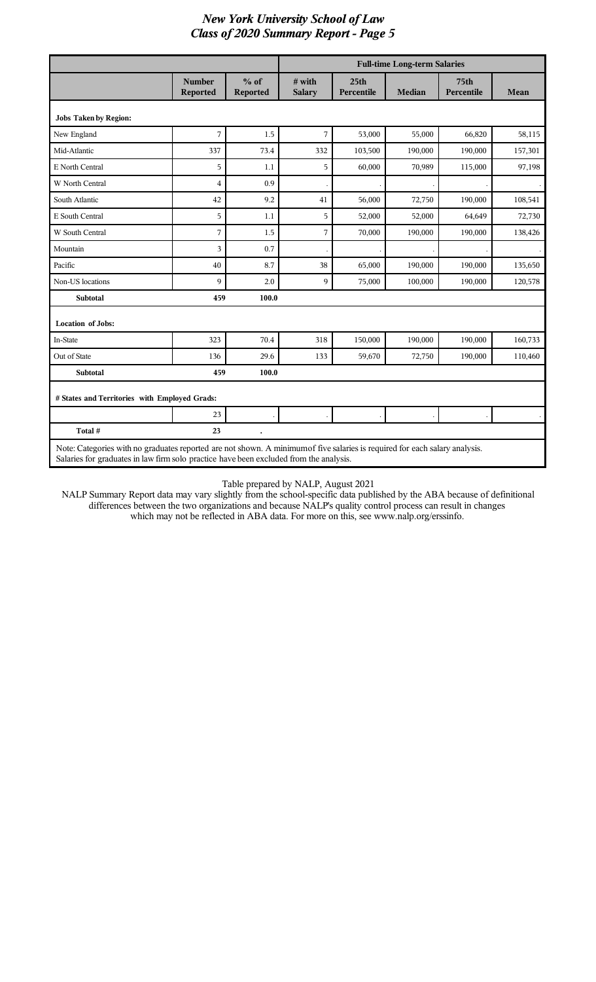|                                                                                                                                                                                                                       |                           |                           | <b>Full-time Long-term Salaries</b> |                                |               |                                |         |
|-----------------------------------------------------------------------------------------------------------------------------------------------------------------------------------------------------------------------|---------------------------|---------------------------|-------------------------------------|--------------------------------|---------------|--------------------------------|---------|
|                                                                                                                                                                                                                       | <b>Number</b><br>Reported | $%$ of<br><b>Reported</b> | # with<br><b>Salary</b>             | 25 <sub>th</sub><br>Percentile | <b>Median</b> | 75 <sub>th</sub><br>Percentile | Mean    |
| <b>Jobs Taken by Region:</b>                                                                                                                                                                                          |                           |                           |                                     |                                |               |                                |         |
| New England                                                                                                                                                                                                           | 7                         | 1.5                       | 7                                   | 53,000                         | 55,000        | 66,820                         | 58,115  |
| Mid-Atlantic                                                                                                                                                                                                          | 337                       | 73.4                      | 332                                 | 103,500                        | 190,000       | 190,000                        | 157,301 |
| E North Central                                                                                                                                                                                                       | 5                         | 1.1                       | 5                                   | 60,000                         | 70,989        | 115,000                        | 97,198  |
| W North Central                                                                                                                                                                                                       | $\overline{4}$            | 0.9                       |                                     |                                |               |                                |         |
| South Atlantic                                                                                                                                                                                                        | 42                        | 9.2                       | 41                                  | 56,000                         | 72,750        | 190,000                        | 108,541 |
| E South Central                                                                                                                                                                                                       | 5                         | 1.1                       | 5                                   | 52,000                         | 52,000        | 64,649                         | 72,730  |
| W South Central                                                                                                                                                                                                       | 7                         | 1.5                       | 7                                   | 70,000                         | 190,000       | 190,000                        | 138,426 |
| Mountain                                                                                                                                                                                                              | 3                         | 0.7                       |                                     |                                |               |                                |         |
| Pacific                                                                                                                                                                                                               | 40                        | 8.7                       | 38                                  | 65,000                         | 190,000       | 190,000                        | 135,650 |
| Non-US locations                                                                                                                                                                                                      | 9                         | 2.0                       | 9                                   | 75,000                         | 100,000       | 190,000                        | 120,578 |
| <b>Subtotal</b>                                                                                                                                                                                                       | 459                       | 100.0                     |                                     |                                |               |                                |         |
| <b>Location of Jobs:</b>                                                                                                                                                                                              |                           |                           |                                     |                                |               |                                |         |
| In-State                                                                                                                                                                                                              | 323                       | 70.4                      | 318                                 | 150,000                        | 190,000       | 190,000                        | 160,733 |
| Out of State                                                                                                                                                                                                          | 136                       | 29.6                      | 133                                 | 59,670                         | 72,750        | 190,000                        | 110,460 |
| <b>Subtotal</b>                                                                                                                                                                                                       | 459                       | 100.0                     |                                     |                                |               |                                |         |
| # States and Territories with Employed Grads:                                                                                                                                                                         |                           |                           |                                     |                                |               |                                |         |
|                                                                                                                                                                                                                       | 23                        |                           |                                     |                                |               |                                |         |
| Total #                                                                                                                                                                                                               | 23                        |                           |                                     |                                |               |                                |         |
| Note: Categories with no graduates reported are not shown. A minimum of five salaries is required for each salary analysis.<br>Salaries for graduates in law firm solo practice have been excluded from the analysis. |                           |                           |                                     |                                |               |                                |         |

#### Table prepared by NALP, August 2021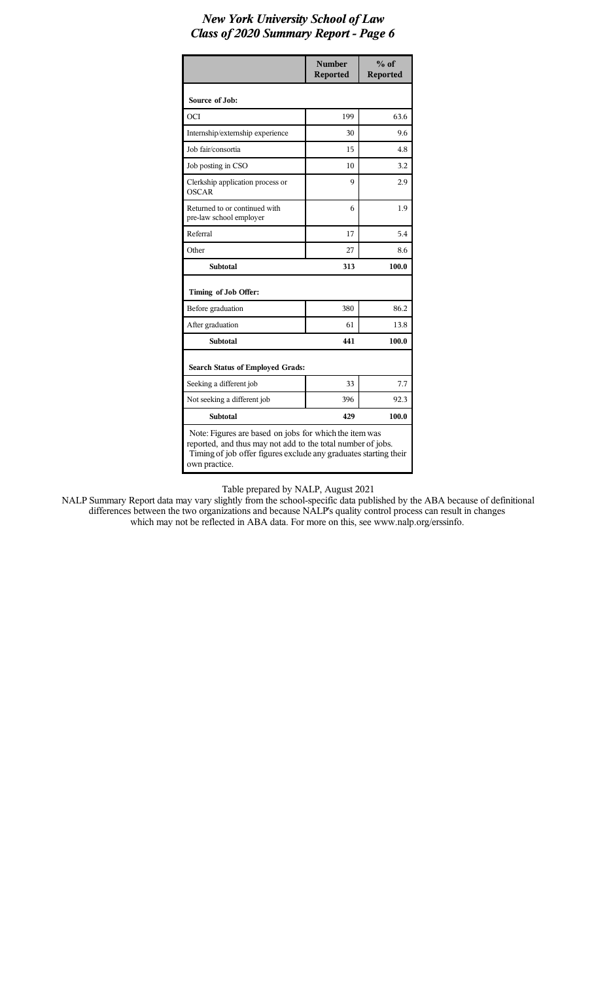|                                                                                                                                                                                                            | <b>Number</b><br><b>Reported</b> | $%$ of<br><b>Reported</b> |  |  |  |  |
|------------------------------------------------------------------------------------------------------------------------------------------------------------------------------------------------------------|----------------------------------|---------------------------|--|--|--|--|
| Source of Job:                                                                                                                                                                                             |                                  |                           |  |  |  |  |
| OCI                                                                                                                                                                                                        | 199                              | 63.6                      |  |  |  |  |
| Internship/externship experience                                                                                                                                                                           | 30                               | 9.6                       |  |  |  |  |
| Job fair/consortia                                                                                                                                                                                         | 15                               | 4.8                       |  |  |  |  |
| Job posting in CSO                                                                                                                                                                                         | 10                               | 3.2                       |  |  |  |  |
| Clerkship application process or<br>OSCAR                                                                                                                                                                  | 9                                | 2.9                       |  |  |  |  |
| Returned to or continued with<br>pre-law school employer                                                                                                                                                   | 6                                | 1.9                       |  |  |  |  |
| Referral                                                                                                                                                                                                   | 17                               | 5.4                       |  |  |  |  |
| Other                                                                                                                                                                                                      | 27                               | 8.6                       |  |  |  |  |
| <b>Subtotal</b>                                                                                                                                                                                            | 313                              | 100.0                     |  |  |  |  |
| Timing of Job Offer:                                                                                                                                                                                       |                                  |                           |  |  |  |  |
| Before graduation                                                                                                                                                                                          | 380                              | 86.2                      |  |  |  |  |
| After graduation                                                                                                                                                                                           | 61                               | 13.8                      |  |  |  |  |
| <b>Subtotal</b>                                                                                                                                                                                            | 441                              | 100.0                     |  |  |  |  |
| <b>Search Status of Employed Grads:</b>                                                                                                                                                                    |                                  |                           |  |  |  |  |
| Seeking a different job                                                                                                                                                                                    | 33                               | 7.7                       |  |  |  |  |
| Not seeking a different job                                                                                                                                                                                | 396                              | 92.3                      |  |  |  |  |
| <b>Subtotal</b>                                                                                                                                                                                            | 429<br>100.0                     |                           |  |  |  |  |
| Note: Figures are based on jobs for which the item was<br>reported, and thus may not add to the total number of jobs.<br>Timing of job offer figures exclude any graduates starting their<br>own practice. |                                  |                           |  |  |  |  |

Table prepared by NALP, August 2021